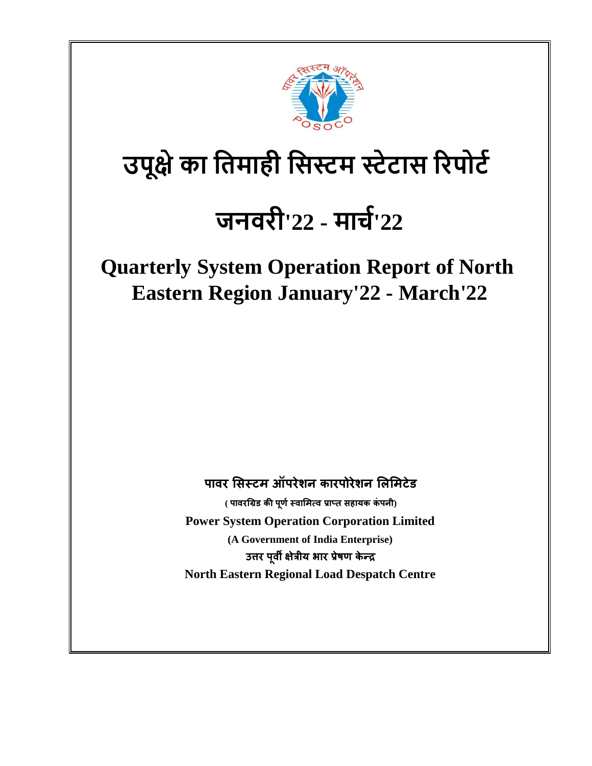

# **उपूक्षेका तिमाही तिस्टम स्टेटाि रिपोटट**

# **जनविी'22 - मार्ट '22**

**Quarterly System Operation Report of North Eastern Region January'22 - March'22**

**पावर सिस्टम ऑपरेशन कारपोरेशन सिसमटेड**

**( पावरग्रिड की पर्ू णस्वासमत्व प्राप्त िहायक कंपनी) Power System Operation Corporation Limited (A Government of India Enterprise) उत्तर पवू ी क्षेत्रीय भार प्रषे र् केन्द्र North Eastern Regional Load Despatch Centre**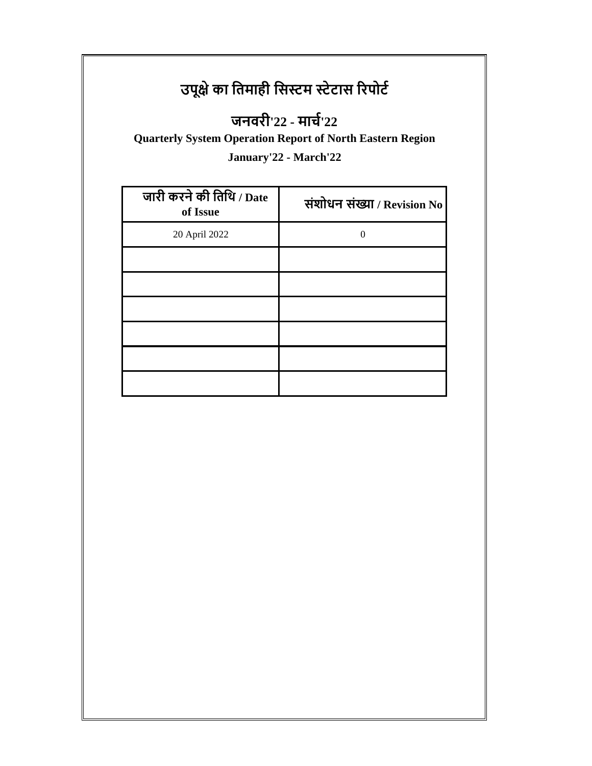## **उपूक्षेका तिमाही तिस्टम स्टेटाि रिपोटट**

## **जनविी'22 - मार्ट'22**

**Quarterly System Operation Report of North Eastern Region**

**January'22 - March'22**

| जारी करने की तिथि / Date<br>of Issue | संशोधन संख्या / Revision No |
|--------------------------------------|-----------------------------|
| 20 April 2022                        |                             |
|                                      |                             |
|                                      |                             |
|                                      |                             |
|                                      |                             |
|                                      |                             |
|                                      |                             |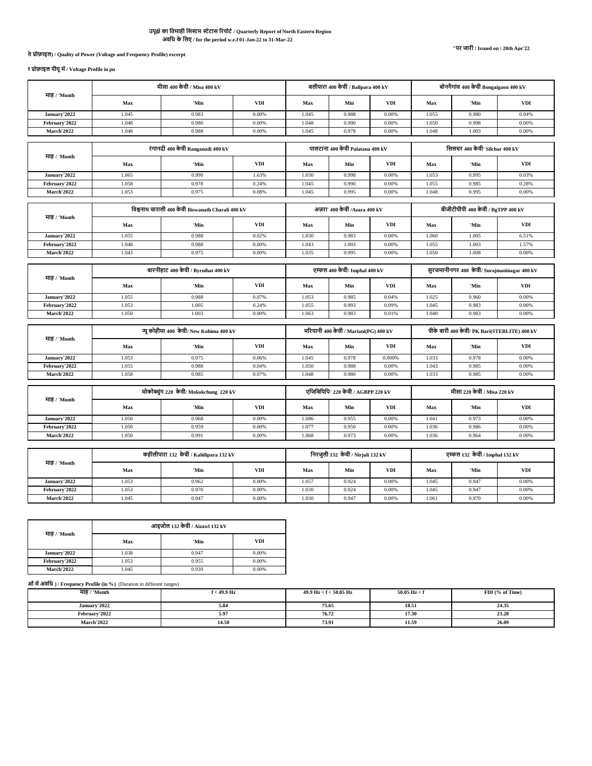## **अवतध के तिए / for the period w.e.f 01-Jan-22 to 31-Mar-22 उपूक्षेका तिमाही तिस्टम स्टेटाि रिपोटट/ Quarterly Report of North Eastern Region**

## **1. पावि अंश की गुणवत्ता (वोल्टेज औि आवृतत्त प्रोफाइि) / Quality of Power (Voltage and Frequency Profile) excerpt**

**1.1 वोल्टेज प्रोफाइि पीयूमें/ Voltage Profile in pu**

|                   | मीसा 400 केवी / Misa 400 kV             |                                                   |            | बलीपारा 400 केवी / Balipara 400 kV    |                                    |            | बोनगैगांव 400 केवी Bongaigaon 400 kV         |                                    |            |
|-------------------|-----------------------------------------|---------------------------------------------------|------------|---------------------------------------|------------------------------------|------------|----------------------------------------------|------------------------------------|------------|
| माह / 'Month      | Max                                     | 'Min                                              | <b>VDI</b> | Max                                   | Min                                | <b>VDI</b> | Max                                          | 'Min                               | <b>VDI</b> |
| January'2022      | 1.045                                   | 0.983                                             | 0.00%      | 1.045                                 | 0.988                              | 0.00%      | 1.055                                        | 0.980                              | 0.94%      |
| February'2022     | 1.048                                   | 0.980                                             | 0.00%      | 1.048                                 | 0.990                              | 0.00%      | 1.050                                        | 0.998                              | 0.00%      |
| <b>March'2022</b> | 1.048                                   | 0.988                                             | 0.00%      | 1.045                                 | 0.978                              | 0.00%      | 1.048                                        | 1.003                              | 0.00%      |
|                   |                                         |                                                   |            |                                       |                                    |            |                                              |                                    |            |
| माह / 'Month      |                                         | रंगानदी 400 केवी Ranganadi 400 kV                 |            |                                       | पालटाना 400 केवी Palatana 400 kV   |            |                                              | सिलचर 400 केवी' Silchar 400 kV     |            |
|                   | Max                                     | 'Min                                              | <b>VDI</b> | Max                                   | Min                                | <b>VDI</b> | Max                                          | 'Min                               | <b>VDI</b> |
| January'2022      | 1.065                                   | 0.990                                             | 1.63%      | 1.030                                 | 0.998                              | 0.00%      | 1.053                                        | 0.995                              | 0.03%      |
| February'2022     | 1.058                                   | 0.978                                             | 0.24%      | 1.045                                 | 0.990                              | 0.00%      | 1.055                                        | 0.985                              | 0.28%      |
| <b>March'2022</b> | 1.053                                   | 0.975                                             | 0.08%      | 1.045                                 | 0.995                              | 0.00%      | 1.048                                        | 0.995                              | 0.00%      |
|                   |                                         |                                                   |            |                                       |                                    |            |                                              |                                    |            |
| माह / 'Month      |                                         | विश्वनाथ चाराली 400 केवी Biswanath Charali 400 kV |            |                                       | अज़रा' 400 केवी /Azara 400 kV      |            |                                              | बीजीटीपीपी 400 केवी / BgTPP 400 kV |            |
|                   | Max                                     | 'Min                                              | <b>VDI</b> | Max                                   | Min                                | <b>VDI</b> | Max                                          | 'Min                               | <b>VDI</b> |
| January'2022      | 1.055                                   | 0.988                                             | 0.02%      | 1.030                                 | 0.983                              | 0.00%      | 1.060                                        | 1.005                              | 6.51%      |
| February'2022     | 1.048                                   | 0.988                                             | 0.00%      | 1.043                                 | 1.003                              | 0.00%      | 1.055                                        | 1.003                              | 1.57%      |
| <b>March'2022</b> | 1.043                                   | 0.975                                             | 0.00%      | 1.035                                 | 0.995                              | 0.00%      | 1.050                                        | 1.008                              | 0.00%      |
|                   | बारनीहाट 400 केवी / Byrnihat 400 kV     |                                                   |            | एम्फल 400 केवी/ Imphal 400 kV         |                                    |            | सुरजमानीनगर 400 केवी/ Surajmaninagar 400 kV  |                                    |            |
| माह / 'Month      |                                         |                                                   |            |                                       |                                    |            |                                              |                                    |            |
|                   | Max                                     | 'Min                                              | <b>VDI</b> | Max                                   | Min                                | <b>VDI</b> | Max                                          | 'Min                               | <b>VDI</b> |
| January'2022      | 1.055                                   | 0.988                                             | 0.07%      | 1.053                                 | 0.985                              | 0.04%      | 1.025                                        | 0.960                              | 0.00%      |
| February'2022     | 1.053                                   | 1.005                                             | 0.24%      | 1.055                                 | 0.993                              | 0.09%      | 1.045                                        | 0.983                              | 0.00%      |
| <b>March'2022</b> | 1.050                                   | 1.003                                             | 0.00%      | 1.063                                 | 0.983                              | 0.01%      | 1.040                                        | 0.983                              | 0.00%      |
|                   | न्यू कोहीमा 400 केवी/ New Kohima 400 kV |                                                   |            | मरियानी 400 केवी / Mariani(PG) 400 kV |                                    |            | पीके बारी 400 केवी/ PK Bari(STERLITE) 400 kV |                                    |            |
| माह / 'Month      | Max                                     | 'Min                                              | <b>VDI</b> | Max                                   | Min                                | <b>VDI</b> | Max                                          | 'Min                               | <b>VDI</b> |
| January'2022      | 1.053                                   | 0.975                                             | 0.06%      | 1.045                                 | 0.978                              | 0.000%     | 1.033                                        | 0.978                              | 0.00%      |
| February'2022     | 1.055                                   | 0.988                                             | 0.04%      | 1.050                                 | 0.988                              | 0.00%      | 1.043                                        | 0.985                              | 0.00%      |
| <b>March'2022</b> | 1.058                                   | 0.985                                             | 0.07%      | 1.048                                 | 0.980                              | 0.00%      | 1.033                                        | 0.985                              | 0.00%      |
|                   |                                         |                                                   |            |                                       |                                    |            |                                              |                                    |            |
|                   |                                         | मोकोक्चुंग 220 केवी/ Mokokchung 220 kV            |            |                                       | एजिबिपिपि' 220 केवी / AGBPP 220 kV |            | मीसा 220 केवी / Misa 220 kV                  |                                    |            |
| माह / 'Month      | Max                                     | 'Min                                              | <b>VDI</b> | Max                                   | Min                                | <b>VDI</b> | Max                                          | 'Min                               | <b>VDI</b> |
| January'2022      | 1.050                                   | 0.968                                             | 0.00%      | 1.086                                 | 0.955                              | 0.00%      | 1.041                                        | 0.973                              | 0.00%      |
| February'2022     | 1.050                                   | 0.959                                             | 0.00%      | 1.077                                 | 0.950                              | 0.00%      | 1.036                                        | 0.986                              | 0.00%      |
| <b>March'2022</b> | 1.050                                   | 0.991                                             | 0.00%      | 1.068                                 | 0.973                              | 0.00%      | 1.036                                        | 0.964                              | 0.00%      |
|                   |                                         |                                                   |            |                                       |                                    |            |                                              |                                    |            |
|                   |                                         | कहीलीपारा 132 केवी / Kahilipara 132 kV            |            |                                       | निरजुली 132 केवी / Nirjuli 132 kV  |            |                                              | एम्फल 132 केवी / Imphal 132 kV     |            |
| माह / 'Month      | Max                                     | 'Min                                              | <b>VDI</b> | Max                                   | Min                                | <b>VDI</b> | Max                                          | 'Min                               | <b>VDI</b> |
| January'2022      | 1.053                                   | 0.962                                             | 0.00%      | 1.057                                 | 0.924                              | 0.00%      | 1.045                                        | 0.947                              | 0.00%      |

| माह / 'Month      | आइजोल 132 केवी / Aizawl 132 kV |       |       |  |  |  |  |
|-------------------|--------------------------------|-------|-------|--|--|--|--|
|                   | Max                            | 'Min  | VDI   |  |  |  |  |
| January'2022      | 1.038                          | 0.947 | 0.00% |  |  |  |  |
| February'2022     | 1.053                          | 0.955 | 0.00% |  |  |  |  |
| <b>March'2022</b> | 1.045                          | 0.939 | 0.00% |  |  |  |  |

**1.2 आवृतत्त प्रोफाइि % में(तवतिन्न िीमाओंमेंअवतध ) / Frequency Profile (in %)** (Duration in different ranges)

| माह / 'Month      | f < 49.9 Hz | $49.9 \text{ Hz} < \text{f} < 50.05 \text{ Hz}$ | $50.05 \text{ Hz} < \text{f}$ | FDI (% of Time) |
|-------------------|-------------|-------------------------------------------------|-------------------------------|-----------------|
| January'2022      | 5.84        | 75.65                                           | 18.51                         | 24.35           |
| February'2022     | 5.97        | 76.72                                           | 17.30                         | 23.28           |
| <b>March'2022</b> | 14.50       | 73.91                                           | 11.59                         | 26.09           |

**February'2022 | 1.053 | 0.970 | 0.00% 1.030 0.924 0.00% 1.045 0.947 0.00% 0.924 March'2022 1.045 1.030 0.947 0.00% 1.030 0.947 0.00% 1.061 0.970 0.00% 0.00%**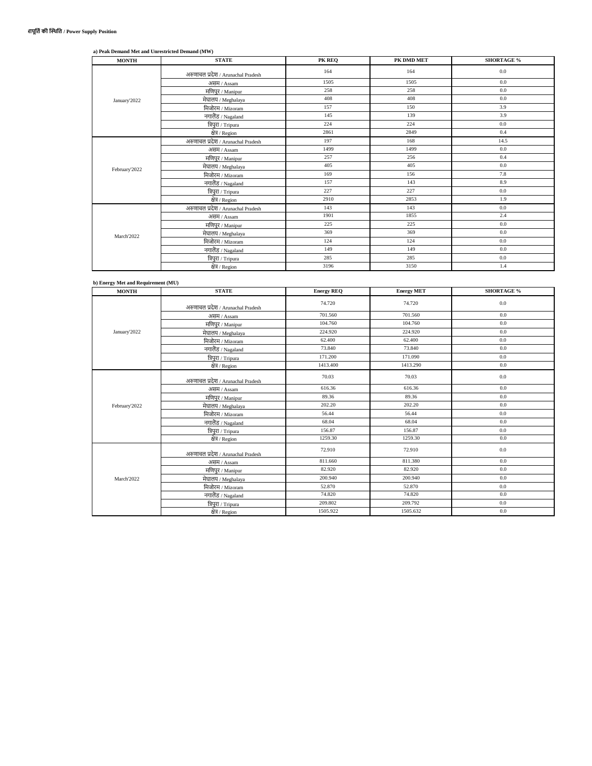| a) Peak Demand Met and Unrestricted Demand (MW) |
|-------------------------------------------------|
|-------------------------------------------------|

| <b>MONTH</b>  | <b>STATE</b>                       | PK REO | PK DMD MET | <b>SHORTAGE %</b> |
|---------------|------------------------------------|--------|------------|-------------------|
|               | अरुणाचल प्रदेश / Arunachal Pradesh | 164    | 164        | 0.0               |
|               | असम / Assam                        | 1505   | 1505       | 0.0               |
|               | मणिपुर $/Manipur$                  | 258    | 258        | 0.0               |
| January'2022  | मेघालय $\mathcal{M}$ eghalaya      | 408    | 408        | 0.0               |
|               | मिजोरम / Mizoram                   | 157    | 150        | 3.9               |
|               | नगालैंड / Nagaland                 | 145    | 139        | 3.9               |
|               | त्रिपुरा / Tripura                 | 224    | 224        | 0.0               |
|               | क्षेत्र / Region                   | 2861   | 2849       | 0.4               |
| February'2022 | अरुणाचल प्रदेश / Arunachal Pradesh | 197    | 168        | 14.5              |
|               | असम / Assam                        | 1499   | 1499       | 0.0               |
|               | मणिपुर / Manipur                   | 257    | 256        | 0.4               |
|               | मेघालय / Meghalaya                 | 405    | 405        | 0.0               |
|               | मि <u>जोरम / Mizoram</u>           | 169    | 156        | 7.8               |
|               | नगा <u>लैंड / Nagaland</u>         | 157    | 143        | 8.9               |
|               | त्रिपुरा / Tripura                 | 227    | 227        | 0.0               |
|               | क्षेत्र / Region                   | 2910   | 2853       | 1.9               |
|               | अरुणाचल प्रदेश / Arunachal Pradesh | 143    | 143        | 0.0               |
|               | असम / Assam                        | 1901   | 1855       | 2.4               |
|               | मणिपुर / Manipur                   | 225    | 225        | 0.0               |
| March'2022    | मेघालय/Meghalaya                   | 369    | 369        | 0.0               |
|               | मिजोरम / Mizoram                   | 124    | 124        | 0.0               |
|               | नगा <u>लैंड / Nagaland</u>         | 149    | 149        | 0.0               |
|               | त्रिपुरा / Tripura                 | 285    | 285        | 0.0               |
|               | क्षेत्र / Region                   | 3196   | 3150       | 1.4               |

## **b) Energy Met and Requirement (MU)**

| <b>MONTH</b>  | <b>STATE</b>                       | <b>Energy REQ</b> | <b>Energy MET</b> | <b>SHORTAGE %</b> |
|---------------|------------------------------------|-------------------|-------------------|-------------------|
|               | अरुणाचल प्रदेश / Arunachal Pradesh | 74.720            | 74.720            | $0.0\,$           |
|               | असम / Assam                        | 701.560           | 701.560           | 0.0               |
|               | मणिपुर / Manipur                   | 104.760           | 104.760           | 0.0               |
| January'2022  | मेघालय / Meghalaya                 | 224.920           | 224.920           | 0.0               |
|               | मिजोरम / Mizoram                   | 62.400            | 62.400            | 0.0               |
|               | नगालैंड / Nagaland                 | 73.840            | 73.840            | 0.0               |
|               | त्रिपुरा / Tripura                 | 171.200           | 171.090           | 0.0               |
|               | क्षेत्र / Region                   | 1413.400          | 1413.290          | 0.0               |
|               | अरुणाचल प्रदेश / Arunachal Pradesh | 70.03             | 70.03             | 0.0               |
|               | असम / Assam                        | 616.36            | 616.36            | 0.0               |
|               | मणिपुर / $M$ anipur                | 89.36             | 89.36             | 0.0               |
| February'2022 | मेघालय / Meghalaya                 | 202.20            | 202.20            | 0.0               |
|               | मि <u>जोरम / Mizoram</u>           | 56.44             | 56.44             | 0.0               |
|               | नगालैंड / Nagaland                 | 68.04             | 68.04             | 0.0               |
|               | त्रिपुरा / Tripura                 | 156.87            | 156.87            | 0.0               |
|               | क्षेत्र / Region                   | 1259.30           | 1259.30           | 0.0               |
|               | अरुणाचल प्रदेश / Arunachal Pradesh | 72.910            | 72.910            | 0.0               |
|               | असम / Assam                        | 811.660           | 811.380           | 0.0               |
|               | मणिपुर / Manipur                   | 82.920            | 82.920            | 0.0               |
| March'2022    | मेघालय / Meghalaya                 | 200.940           | 200.940           | 0.0               |
|               | मिजोरम / Mizoram                   | 52.870            | 52.870            | 0.0               |
|               | नगालैंड / Nagaland                 | 74.820            | 74.820            | 0.0               |
|               | त्रि <u>पुरा / Tripura</u>         | 209.802           | 209.792           | 0.0               |
|               | क्षेत्र / Region                   | 1505.922          | 1505.632          | 0.0               |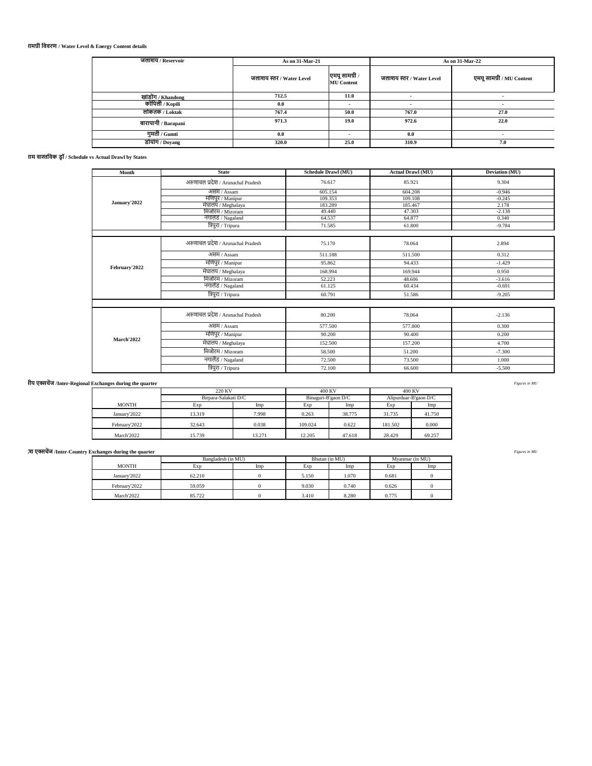## **3. जिाशय स्ति व ऊजाटिामग्री तवविण / Water Level & Energy Content details**

| जलाशय / Reservoir   | As on 31-Mar-21          |                                     | As on 31-Mar-22          |                           |  |
|---------------------|--------------------------|-------------------------------------|--------------------------|---------------------------|--|
|                     | जलाशय स्तर / Water Level | एमयू सामग्री /<br><b>MU</b> Content | जलाशय स्तर / Water Level | एमयू सामग्री / MU Content |  |
| खांडोंग / Khandong  | 712.5                    | 11.0                                | $\overline{\phantom{a}}$ | -                         |  |
| कोपिली / Kopili     | 0.0                      |                                     |                          |                           |  |
| लोकतक / Loktak      | 767.4                    | 50.0                                | 767.0                    | 27.0                      |  |
| बारापानी / Barapani | 971.3                    | 19.0                                | 972.6                    | 22.0                      |  |
| गुमती / Gumti       | 0.0                      |                                     | 0.0                      |                           |  |
| डोयांग / Doyang     | 320.0                    | 25.0                                | 310.9                    | 7.0                       |  |

## **4. िाज्ोंद्वािा अनुिूर्ी बनाम वास्ततवक ड्रॉ / Schedule vs Actual Drawl by States**

| Month             | <b>State</b>                       | Schedule Drawl (MU) | <b>Actual Drawl (MU)</b> | Deviation (MU) |  |
|-------------------|------------------------------------|---------------------|--------------------------|----------------|--|
|                   | अरुणाचल प्रदेश / Arunachal Pradesh | 76.617              | 85.921                   | 9.304          |  |
| January'2022      | असम / Assam                        | 605.154             | 604.208                  | $-0.946$       |  |
|                   | मणिपुर / Manipur                   | 109.353             | 109.108                  | $-0.245$       |  |
|                   | मेघालय / Meghalaya                 | 183.289             | 185.467                  | 2.178          |  |
|                   | मिजोरम / Mizoram                   | 49.440              | 47.303                   | $-2.138$       |  |
|                   | नगालंड / Nagaland                  | 64.537              | 64.877                   | 0.340          |  |
|                   | त्रिपुरा / Tripura                 | 71.585              | 61.800                   | $-9.784$       |  |
|                   |                                    |                     |                          |                |  |
|                   | अरुणाचल प्रदेश / Arunachal Pradesh | 75.170              | 78.064                   | 2.894          |  |
|                   | असम / Assam                        | 511.188             | 511.500                  | 0.312          |  |
| February'2022     | मणिपुर / Manipur                   | 95.862              | 94.433                   | $-1.429$       |  |
|                   | मेघालय / Meghalaya                 | 168.994             | 169.944                  | 0.950          |  |
|                   | मिजोरम / Mizoram                   | 52.223              | 48.606                   | $-3.616$       |  |
|                   | नगालैंड / Nagaland                 | 61.125              | 60.434                   | $-0.691$       |  |
|                   | त्रिपुरा / Tripura                 | 60.791              | 51.586                   | $-9.205$       |  |
|                   |                                    |                     |                          |                |  |
|                   | अरुणाचल प्रदेश / Arunachal Pradesh | 80.200              | 78.064                   | $-2.136$       |  |
|                   | असम / Assam                        | 577.500             | 577.800                  | 0.300          |  |
|                   | मणिपुर / Manipur                   | 90.200              | 90.400                   | 0.200          |  |
| <b>March'2022</b> | मेघालय / Meghalaya                 | 152.500             | 157.200                  | 4.700          |  |
|                   | मिजोरम / Mizoram                   | 58.500              | 51.200                   | $-7.300$       |  |
|                   | नगालैंड / Nagaland                 | 72.500              | 73.500                   | 1.000          |  |
|                   | त्रिपुरा / Tripura                 | 72.100              | 66,600                   | $-5.500$       |  |

## **5.A तिमाही के दौिान अंिि-क्षेत्रीय एक्सर्ेंज /Inter-Regional Exchanges during the quarter** *Figures in MU*

|               | 220 KV               |        | 400 KV  |                     | 400 KV                |        |
|---------------|----------------------|--------|---------|---------------------|-----------------------|--------|
|               | Birpara-Salakati D/C |        |         | Binaguri-B'gaon D/C | Alipurduar-B'gaon D/C |        |
| <b>MONTH</b>  | Exp                  | Imp    | Exp     | Imp                 | Exp                   | Imp    |
| January'2022  | 13.319               | 7.998  | 0.263   | 38.775              | 31.735                | 41.750 |
| February'2022 | 32.643               | 0.038  | 109.024 | 0.622               | 181.502               | 0.000  |
| March'2022    | 15.739               | 13.271 | 12.205  | 47.618              | 28.429                | 69.257 |

| श एक्सचेंज /Inter-Country Exchanges during the quarter |                    |     |                |       |                 |     | Figures in MU |
|--------------------------------------------------------|--------------------|-----|----------------|-------|-----------------|-----|---------------|
|                                                        | Bangladesh (in MU) |     | Bhutan (in MU) |       | Myanmar (in MU) |     |               |
| <b>MONTH</b>                                           | Exp                | Imp | Exp            | Imp   | Exp             | Imp |               |
| January'2022                                           | 62.210             |     | 5.150          | 1.070 | 0.681           |     |               |
| February'2022                                          | 59.059             |     | 9.030          | 0.740 | 0.626           |     |               |
| March'2022                                             | 85.722             |     | 3.410          | 8.280 | 0.775           |     |               |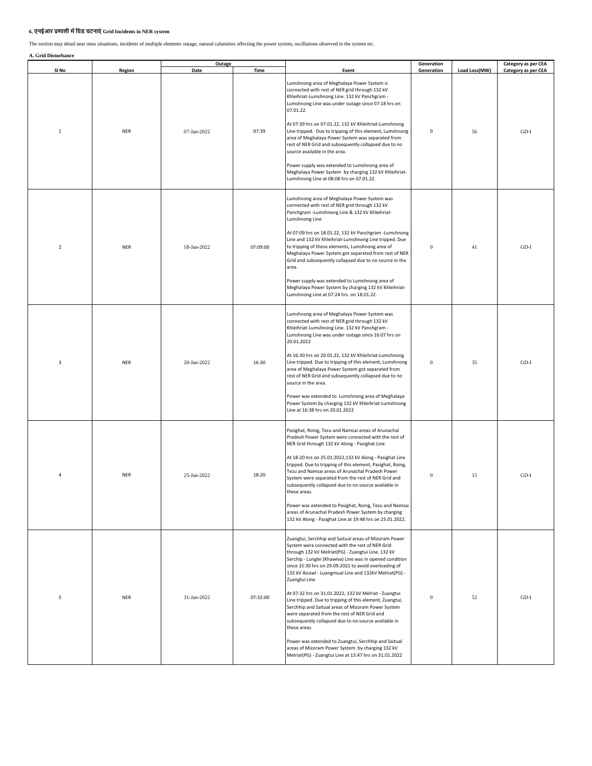## **6. एनईआि प्रणािी मेंतग्रड् घटनाएं Grid Incidents in NER system**

The section may detail near miss situations, incidents of multiple elements outage, natural calamities affecting the power system, oscillations observed in the system etc.

**A. Grid Disturbance**

| A. Grid Disturbance |            | Outage      |          |                                                                                                                                                                                                                                                                                                                                                                                                                                                                                                                                                                                                                                                                                                                                                                                                                                         | Generation       |               | Category as per CEA |
|---------------------|------------|-------------|----------|-----------------------------------------------------------------------------------------------------------------------------------------------------------------------------------------------------------------------------------------------------------------------------------------------------------------------------------------------------------------------------------------------------------------------------------------------------------------------------------------------------------------------------------------------------------------------------------------------------------------------------------------------------------------------------------------------------------------------------------------------------------------------------------------------------------------------------------------|------------------|---------------|---------------------|
| SI No               | Region     | Date        | Time     | Event<br>Lumshnong area of Meghalaya Power System is<br>connected with rest of NER grid through 132 kV<br>Khleihriat-Lumshnong Line. 132 kV Panchgram -<br>Lumshnong Line was under outage since 07:18 hrs on<br>07.01.22.                                                                                                                                                                                                                                                                                                                                                                                                                                                                                                                                                                                                              | Generation       | Load Loss(MW) | Category as per CEA |
| $\mathbf{1}$        | <b>NER</b> | 07-Jan-2022 | 07:39    | At 07:39 hrs on 07.01.22, 132 kV Khleihriat-Lumshnong<br>Line tripped. Due to tripping of this element, Lumshnong<br>area of Meghalaya Power System was separated from<br>rest of NER Grid and subsequently collapsed due to no<br>source available in the area.<br>Power supply was extended to Lumshnong area of<br>Meghalaya Power System by charging 132 kV Khleihriat-<br>Lumshnong Line at 08:08 hrs on 07.01.22.                                                                                                                                                                                                                                                                                                                                                                                                                 | 0                | 56            | $GD-I$              |
| $\overline{2}$      | <b>NER</b> | 18-Jan-2022 | 07:09:00 | Lumshnong area of Meghalaya Power System was<br>connected with rest of NER grid through 132 kV<br>Panchgram - Lumshnong Line & 132 kV Khleihriat-<br>Lumshnong Line<br>At 07:09 hrs on 18.01.22, 132 kV Panchgram -Lumshnong<br>Line and 132 kV Khleihriat-Lumshnong Line tripped. Due<br>to tripping of these elements, Lumshnong area of<br>Meghalaya Power System got separated from rest of NER<br>Grid and subsequently collapsed due to no source in the<br>area.<br>Power supply was extended to Lumshnong area of<br>Meghalaya Power System by charging 132 kV Khleihriat-<br>Lumshnong Line at 07:24 hrs. on 18.01.22.                                                                                                                                                                                                         | $\mathbf{0}$     | 41            | $GD-I$              |
| 3                   | <b>NER</b> | 20-Jan-2022 | 16:30    | Lumshnong area of Meghalaya Power System was<br>connected with rest of NER grid through 132 kV<br>Khleihriat-Lumshnong Line. 132 kV Panchgram -<br>Lumshnong Line was under outage since 16:07 hrs on<br>20.01.2022<br>At 16:30 hrs on 20.01.22, 132 kV Khleihriat-Lumshnong<br>Line tripped. Due to tripping of this element, Lumshnong<br>area of Meghalaya Power System got separated from<br>rest of NER Grid and subsequently collapsed due to no<br>source in the area.<br>Power was extended to Lumshnong area of Meghalaya<br>Power System by charging 132 kV Khleihriat-Lumshnong<br>Line at 16:38 hrs on 20.01.2022                                                                                                                                                                                                           | $\mathbf{0}$     | 35            | $GD-I$              |
| $\overline{a}$      | <b>NER</b> | 25-Jan-2022 | 18:20    | Pasighat, Roing, Tezu and Namsai areas of Arunachal<br>Pradesh Power System were connected with the rest of<br>NER Grid through 132 kV Along - Pasighat Line.<br>At 18:20 hrs on 25.01.2022,132 kV Along - Pasighat Line<br>tripped. Due to tripping of this element, Pasighat, Roing,<br>Tezu and Namsai areas of Arunachal Pradesh Power<br>System were separated from the rest of NER Grid and<br>subsequently collapsed due to no source available in<br>these areas.<br>Power was extended to Pasighat, Roing, Tezu and Namsai<br>areas of Arunachal Pradesh Power System by charging<br>132 kV Along - Pasighat Line at 19:48 hrs on 25.01.2022.                                                                                                                                                                                  | $\bf{0}$         | 15            | $GD-I$              |
| 5                   | <b>NER</b> | 31-Jan-2022 | 07:32:00 | Zuangtui, Serchhip and Saitual areas of Mizoram Power<br>System were connected with the rest of NER Grid<br>through 132 kV Melriat(PG) - Zuangtui Line. 132 kV<br>Serchip - Lunglei (Khawiva) Line was in opened condition<br>since 15:30 hrs on 29.09.2021 to avoid overloading of<br>132 kV Aizawl - Luangmual Line and 132kV Melriat(PG) -<br>Zuangtui Line<br>At 07:32 hrs on 31.01.2022, 132 kV Melriat - Zuangtui<br>Line tripped. Due to tripping of this element, Zuangtui,<br>Serchhip and Saitual areas of Mizoram Power System<br>were separated from the rest of NER Grid and<br>subsequently collapsed due to no source available in<br>these areas.<br>Power was extended to Zuangtui, Serchhip and Saitual<br>areas of Mizoram Power System by charging 132 kV<br>Melriat(PG) - Zuangtui Line at 13:47 hrs on 31.01.2022 | $\boldsymbol{0}$ | 52            | $GD-I$              |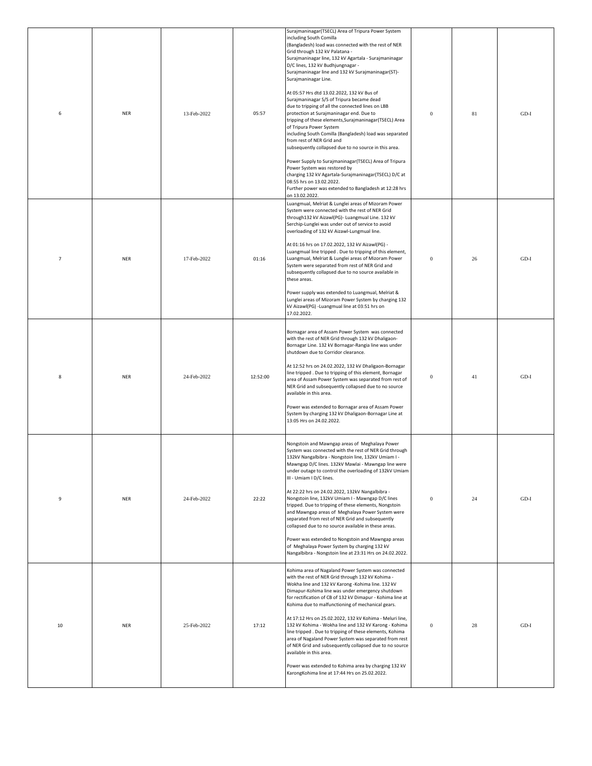| 6              | <b>NER</b> | 13-Feb-2022 | 05:57    | Surajmaninagar(TSECL) Area of Tripura Power System<br>including South Comilla<br>(Bangladesh) load was connected with the rest of NER<br>Grid through 132 kV Palatana -<br>Surajmaninagar line, 132 kV Agartala - Surajmaninagar<br>D/C lines, 132 kV Budhjungnagar -<br>Surajmaninagar line and 132 kV Surajmaninagar(ST)-<br>Surajmaninagar Line.<br>At 05:57 Hrs dtd 13.02.2022, 132 kV Bus of<br>Surajmaninagar S/S of Tripura became dead<br>due to tripping of all the connected lines on LBB<br>protection at Surajmaninagar end. Due to<br>tripping of these elements, Surajmaninagar (TSECL) Area<br>of Tripura Power System<br>including South Comilla (Bangladesh) load was separated<br>from rest of NER Grid and<br>subsequently collapsed due to no source in this area.<br>Power Supply to Surajmaninagar(TSECL) Area of Tripura<br>Power System was restored by<br>charging 132 kV Agartala-Surajmaninagar(TSECL) D/C at<br>08:55 hrs on 13.02.2022.<br>Further power was extended to Bangladesh at 12:28 hrs<br>on 13.02.2022. | $\boldsymbol{0}$ | 81 | $GD-I$ |
|----------------|------------|-------------|----------|-------------------------------------------------------------------------------------------------------------------------------------------------------------------------------------------------------------------------------------------------------------------------------------------------------------------------------------------------------------------------------------------------------------------------------------------------------------------------------------------------------------------------------------------------------------------------------------------------------------------------------------------------------------------------------------------------------------------------------------------------------------------------------------------------------------------------------------------------------------------------------------------------------------------------------------------------------------------------------------------------------------------------------------------------|------------------|----|--------|
| $\overline{7}$ | <b>NER</b> | 17-Feb-2022 | 01:16    | Luangmual, Melriat & Lunglei areas of Mizoram Power<br>System were connected with the rest of NER Grid<br>through132 kV Aizawl(PG)- Luangmual Line. 132 kV<br>Serchip-Lunglei was under out of service to avoid<br>overloading of 132 kV Aizawl-Lungmual line.<br>At 01:16 hrs on 17.02.2022, 132 kV Aizawl(PG) -<br>Luangmual line tripped. Due to tripping of this element,<br>Luangmual, Melriat & Lunglei areas of Mizoram Power<br>System were separated from rest of NER Grid and<br>subsequently collapsed due to no source available in<br>these areas.<br>Power supply was extended to Luangmual, Melriat &<br>Lunglei areas of Mizoram Power System by charging 132<br>kV Aizawl(PG) - Luangmual line at 03:51 hrs on<br>17.02.2022.                                                                                                                                                                                                                                                                                                  | $\boldsymbol{0}$ | 26 | $GD-I$ |
| 8              | <b>NER</b> | 24-Feb-2022 | 12:52:00 | Bornagar area of Assam Power System was connected<br>with the rest of NER Grid through 132 kV Dhaligaon-<br>Bornagar Line. 132 kV Bornagar-Rangia line was under<br>shutdown due to Corridor clearance.<br>At 12:52 hrs on 24.02.2022, 132 kV Dhaligaon-Bornagar<br>line tripped. Due to tripping of this element, Bornagar<br>area of Assam Power System was separated from rest of<br>NER Grid and subsequently collapsed due to no source<br>available in this area.<br>Power was extended to Bornagar area of Assam Power<br>System by charging 132 kV Dhaligaon-Bornagar Line at<br>13:05 Hrs on 24.02.2022.                                                                                                                                                                                                                                                                                                                                                                                                                               | $\boldsymbol{0}$ | 41 | $GD-I$ |
| 9              | <b>NER</b> | 24-Feb-2022 | 22:22    | Nongstoin and Mawngap areas of Meghalaya Power<br>System was connected with the rest of NER Grid through<br>132kV Nangalbibra - Nongstoin line, 132kV Umiam I -<br>Mawngap D/C lines. 132kV Mawlai - Mawngap line were<br>under outage to control the overloading of 132kV Umiam<br>III - Umiam I D/C lines.<br>At 22:22 hrs on 24.02.2022, 132kV Nangalbibra -<br>Nongstoin line, 132kV Umiam I - Mawngap D/C lines<br>tripped. Due to tripping of these elements, Nongstoin<br>and Mawngap areas of Meghalaya Power System were<br>separated from rest of NER Grid and subsequently<br>collapsed due to no source available in these areas.<br>Power was extended to Nongstoin and Mawngap areas<br>of Meghalaya Power System by charging 132 kV<br>Nangalbibra - Nongstoin line at 23:31 Hrs on 24.02.2022.                                                                                                                                                                                                                                  | $\boldsymbol{0}$ | 24 | $GD-I$ |
| 10             | <b>NER</b> | 25-Feb-2022 | 17:12    | Kohima area of Nagaland Power System was connected<br>with the rest of NER Grid through 132 kV Kohima -<br>Wokha line and 132 kV Karong - Kohima line. 132 kV<br>Dimapur-Kohima line was under emergency shutdown<br>for rectification of CB of 132 kV Dimapur - Kohima line at<br>Kohima due to malfunctioning of mechanical gears.<br>At 17:12 Hrs on 25.02.2022, 132 kV Kohima - Meluri line,<br>132 kV Kohima - Wokha line and 132 kV Karong - Kohima<br>line tripped . Due to tripping of these elements, Kohima<br>area of Nagaland Power System was separated from rest<br>of NER Grid and subsequently collapsed due to no source<br>available in this area.<br>Power was extended to Kohima area by charging 132 kV<br>KarongKohima line at 17:44 Hrs on 25.02.2022.                                                                                                                                                                                                                                                                   | $\bf{0}$         | 28 | $GD-I$ |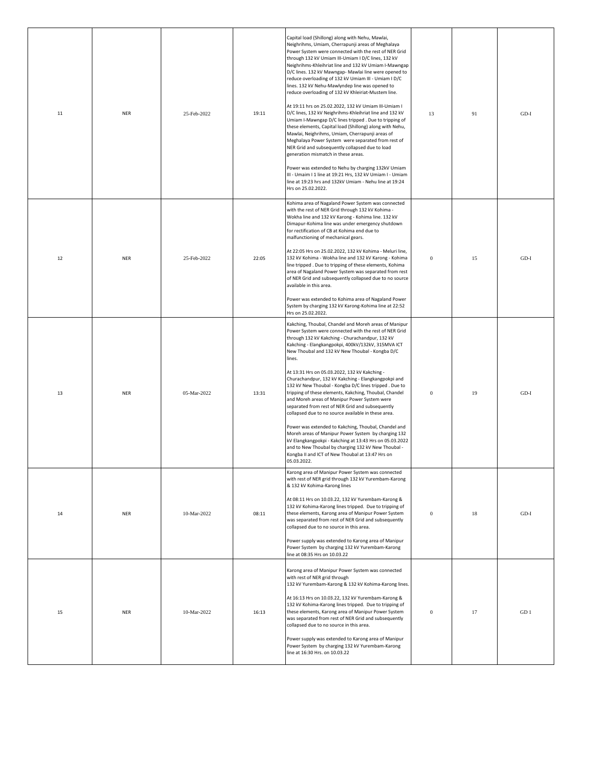| 11 | <b>NER</b> | 25-Feb-2022 | 19:11 | Capital load (Shillong) along with Nehu, Mawlai,<br>Neighrihms, Umiam, Cherrapunji areas of Meghalaya<br>Power System were connected with the rest of NER Grid<br>through 132 kV Umiam III-Umiam I D/C lines, 132 kV<br>Neighrihms-Khleihriat line and 132 kV Umiam I-Mawngap<br>D/C lines. 132 kV Mawngap- Mawlai line were opened to<br>reduce overloading of 132 kV Umiam III - Umiam I D/C<br>lines. 132 kV Nehu-Mawlyndep line was opened to<br>reduce overloading of 132 kV Khleiriat-Mustem line.<br>At 19:11 hrs on 25.02.2022, 132 kV Umiam III-Umiam I<br>D/C lines, 132 kV Neighrihms-Khleihriat line and 132 kV<br>Umiam I-Mawngap D/C lines tripped . Due to tripping of<br>these elements, Capital load (Shillong) along with Nehu,<br>Mawlai, Neighrihms, Umiam, Cherrapunji areas of<br>Meghalaya Power System were separated from rest of<br>NER Grid and subsequently collapsed due to load<br>generation mismatch in these areas.<br>Power was extended to Nehu by charging 132kV Umiam<br>III - Umaim I 1 line at 19:21 Hrs, 132 kV Umiam I - Umiam<br>line at 19:23 hrs and 132kV Umiam - Nehu line at 19:24<br>Hrs on 25.02.2022. | 13               | 91 | $GD-I$          |
|----|------------|-------------|-------|---------------------------------------------------------------------------------------------------------------------------------------------------------------------------------------------------------------------------------------------------------------------------------------------------------------------------------------------------------------------------------------------------------------------------------------------------------------------------------------------------------------------------------------------------------------------------------------------------------------------------------------------------------------------------------------------------------------------------------------------------------------------------------------------------------------------------------------------------------------------------------------------------------------------------------------------------------------------------------------------------------------------------------------------------------------------------------------------------------------------------------------------------------|------------------|----|-----------------|
| 12 | <b>NER</b> | 25-Feb-2022 | 22:05 | Kohima area of Nagaland Power System was connected<br>with the rest of NER Grid through 132 kV Kohima -<br>Wokha line and 132 kV Karong - Kohima line. 132 kV<br>Dimapur-Kohima line was under emergency shutdown<br>for rectification of CB at Kohima end due to<br>malfunctioning of mechanical gears.<br>At 22:05 Hrs on 25.02.2022, 132 kV Kohima - Meluri line,<br>132 kV Kohima - Wokha line and 132 kV Karong - Kohima<br>line tripped. Due to tripping of these elements, Kohima<br>area of Nagaland Power System was separated from rest<br>of NER Grid and subsequently collapsed due to no source<br>available in this area.<br>Power was extended to Kohima area of Nagaland Power<br>System by charging 132 kV Karong-Kohima line at 22:52<br>Hrs on 25.02.2022.                                                                                                                                                                                                                                                                                                                                                                           | $\mathbf{0}$     | 15 | $GD-I$          |
| 13 | <b>NER</b> | 05-Mar-2022 | 13:31 | Kakching, Thoubal, Chandel and Moreh areas of Manipur<br>Power System were connected with the rest of NER Grid<br>through 132 kV Kakching - Churachandpur, 132 kV<br>Kakching - Elangkangpokpi, 400kV/132kV, 315MVA ICT<br>New Thoubal and 132 kV New Thoubal - Kongba D/C<br>lines.<br>At 13:31 Hrs on 05.03.2022, 132 kV Kakching -<br>Churachandpur, 132 kV Kakching - Elangkangpokpi and<br>132 kV New Thoubal - Kongba D/C lines tripped. Due to<br>tripping of these elements, Kakching, Thoubal, Chandel<br>and Moreh areas of Manipur Power System were<br>separated from rest of NER Grid and subsequently<br>collapsed due to no source available in these area.<br>Power was extended to Kakching, Thoubal, Chandel and<br>Moreh areas of Manipur Power System by charging 132<br>kV Elangkangpokpi - Kakching at 13:43 Hrs on 05.03.2022<br>and to New Thoubal by charging 132 kV New Thoubal -<br>Kongba II and ICT of New Thoubal at 13:47 Hrs on<br>05.03.2022.                                                                                                                                                                          | $\mathbf{0}$     | 19 | $GD-I$          |
| 14 | <b>NER</b> | 10-Mar-2022 | 08:11 | Karong area of Manipur Power System was connected<br>with rest of NER grid through 132 kV Yurembam-Karong<br>& 132 kV Kohima-Karong lines<br>At 08:11 Hrs on 10.03.22, 132 kV Yurembam-Karong &<br>132 kV Kohima-Karong lines tripped. Due to tripping of<br>these elements, Karong area of Manipur Power System<br>was separated from rest of NER Grid and subsequently<br>collapsed due to no source in this area.<br>Power supply was extended to Karong area of Manipur<br>Power System by charging 132 kV Yurembam-Karong<br>line at 08:35 Hrs on 10.03.22                                                                                                                                                                                                                                                                                                                                                                                                                                                                                                                                                                                         | $\boldsymbol{0}$ | 18 | $GD-I$          |
| 15 | <b>NER</b> | 10-Mar-2022 | 16:13 | Karong area of Manipur Power System was connected<br>with rest of NER grid through<br>132 kV Yurembam-Karong & 132 kV Kohima-Karong lines.<br>At 16:13 Hrs on 10.03.22, 132 kV Yurembam-Karong &<br>132 kV Kohima-Karong lines tripped. Due to tripping of<br>these elements, Karong area of Manipur Power System<br>was separated from rest of NER Grid and subsequently<br>collapsed due to no source in this area.<br>Power supply was extended to Karong area of Manipur<br>Power System by charging 132 kV Yurembam-Karong<br>line at 16:30 Hrs. on 10.03.22                                                                                                                                                                                                                                                                                                                                                                                                                                                                                                                                                                                       | $\boldsymbol{0}$ | 17 | GD <sub>1</sub> |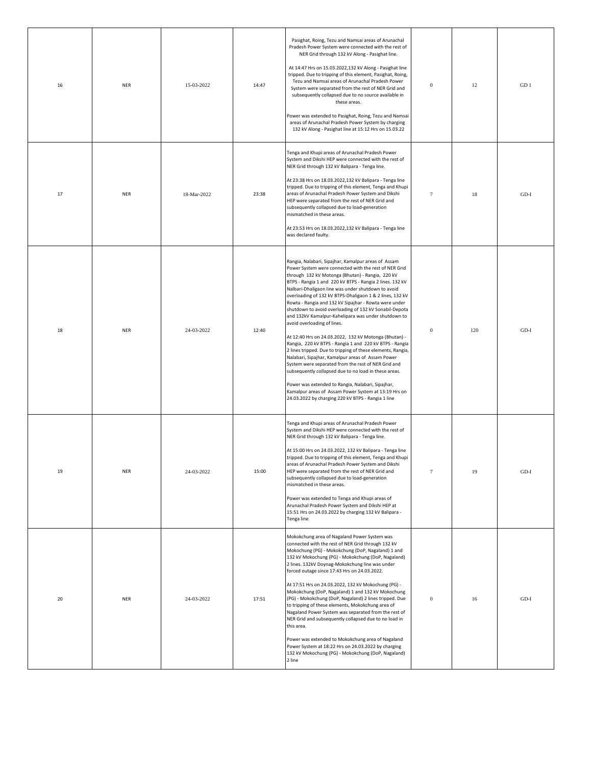| 16 | <b>NER</b> | 15-03-2022  | 14:47 | Pasighat, Roing, Tezu and Namsai areas of Arunachal<br>Pradesh Power System were connected with the rest of<br>NER Grid through 132 kV Along - Pasighat line.<br>At 14:47 Hrs on 15.03.2022,132 kV Along - Pasighat line<br>tripped. Due to tripping of this element, Pasighat, Roing,<br>Tezu and Namsai areas of Arunachal Pradesh Power<br>System were separated from the rest of NER Grid and<br>subsequently collapsed due to no source available in<br>these areas.<br>Power was extended to Pasighat, Roing, Tezu and Namsai<br>areas of Arunachal Pradesh Power System by charging<br>132 kV Along - Pasighat line at 15:12 Hrs on 15.03.22                                                                                                                                                                                                                                                                                                                                                                                                                                | $\boldsymbol{0}$ | 12  | GD <sub>1</sub> |
|----|------------|-------------|-------|------------------------------------------------------------------------------------------------------------------------------------------------------------------------------------------------------------------------------------------------------------------------------------------------------------------------------------------------------------------------------------------------------------------------------------------------------------------------------------------------------------------------------------------------------------------------------------------------------------------------------------------------------------------------------------------------------------------------------------------------------------------------------------------------------------------------------------------------------------------------------------------------------------------------------------------------------------------------------------------------------------------------------------------------------------------------------------|------------------|-----|-----------------|
| 17 | <b>NER</b> | 18-Mar-2022 | 23:38 | Tenga and Khupi areas of Arunachal Pradesh Power<br>System and Dikshi HEP were connected with the rest of<br>NER Grid through 132 kV Balipara - Tenga line.<br>At 23:38 Hrs on 18.03.2022,132 kV Balipara - Tenga line<br>tripped. Due to tripping of this element, Tenga and Khupi<br>areas of Arunachal Pradesh Power System and Dikshi<br>HEP were separated from the rest of NER Grid and<br>subsequently collapsed due to load-generation<br>mismatched in these areas.<br>At 23:53 Hrs on 18.03.2022,132 kV Balipara - Tenga line<br>was declared faulty.                                                                                                                                                                                                                                                                                                                                                                                                                                                                                                                    | $\tau$           | 18  | $GD-I$          |
| 18 | <b>NER</b> | 24-03-2022  | 12:40 | Rangia, Nalabari, Sipajhar, Kamalpur areas of Assam<br>Power System were connected with the rest of NER Grid<br>through 132 kV Motonga (Bhutan) - Rangia, 220 kV<br>BTPS - Rangia 1 and 220 kV BTPS - Rangia 2 lines. 132 kV<br>Nalbari-Dhaligaon line was under shutdown to avoid<br>overloading of 132 kV BTPS-Dhaligaon 1 & 2 lines, 132 kV<br>Rowta - Rangia and 132 kV Sipajhar - Rowta were under<br>shutdown to avoid overloading of 132 kV Sonabil-Depota<br>and 132kV Kamalpur-Kahelipara was under shutdown to<br>avoid overloading of lines.<br>At 12:40 Hrs on 24.03.2022, 132 kV Motonga (Bhutan) -<br>Rangia, 220 kV BTPS - Rangia 1 and 220 kV BTPS - Rangia<br>2 lines tripped. Due to tripping of these elements, Rangia,<br>Nalabari, Sipajhar, Kamalpur areas of Assam Power<br>System were separated from the rest of NER Grid and<br>subsequently collapsed due to no load in these areas.<br>Power was extended to Rangia, Nalabari, Sipajhar,<br>Kamalpur areas of Assam Power System at 13:19 Hrs on<br>24.03.2022 by charging 220 kV BTPS - Rangia 1 line | $\bf{0}$         | 120 | $GD-I$          |
| 19 | <b>NER</b> | 24-03-2022  | 15:00 | Tenga and Khupi areas of Arunachal Pradesh Power<br>System and Dikshi HEP were connected with the rest of<br>NER Grid through 132 kV Balipara - Tenga line.<br>At 15:00 Hrs on 24.03.2022, 132 kV Balipara - Tenga line<br>tripped. Due to tripping of this element, Tenga and Khupi<br>areas of Arunachal Pradesh Power System and Dikshi<br>HEP were separated from the rest of NER Grid and<br>subsequently collapsed due to load-generation<br>mismatched in these areas.<br>Power was extended to Tenga and Khupi areas of<br>Arunachal Pradesh Power System and Dikshi HEP at<br>15:51 Hrs on 24.03.2022 by charging 132 kV Balipara -<br>Tenga line                                                                                                                                                                                                                                                                                                                                                                                                                         | $\tau$           | 19  | $GD-I$          |
| 20 | <b>NER</b> | 24-03-2022  | 17:51 | Mokokchung area of Nagaland Power System was<br>connected with the rest of NER Grid through 132 kV<br>Mokochung (PG) - Mokokchung (DoP, Nagaland) 1 and<br>132 kV Mokochung (PG) - Mokokchung (DoP, Nagaland)<br>2 lines. 132kV Doynag-Mokokchung line was under<br>forced outage since 17:43 Hrs on 24.03.2022.<br>At 17:51 Hrs on 24.03.2022, 132 kV Mokochung (PG) -<br>Mokokchung (DoP, Nagaland) 1 and 132 kV Mokochung<br>(PG) - Mokokchung (DoP, Nagaland) 2 lines tripped. Due<br>to tripping of these elements, Mokokchung area of<br>Nagaland Power System was separated from the rest of<br>NER Grid and subsequently collapsed due to no load in<br>this area.<br>Power was extended to Mokokchung area of Nagaland<br>Power System at 18:22 Hrs on 24.03.2022 by charging<br>132 kV Mokochung (PG) - Mokokchung (DoP, Nagaland)<br>2 line                                                                                                                                                                                                                             | $\boldsymbol{0}$ | 16  | $GD-I$          |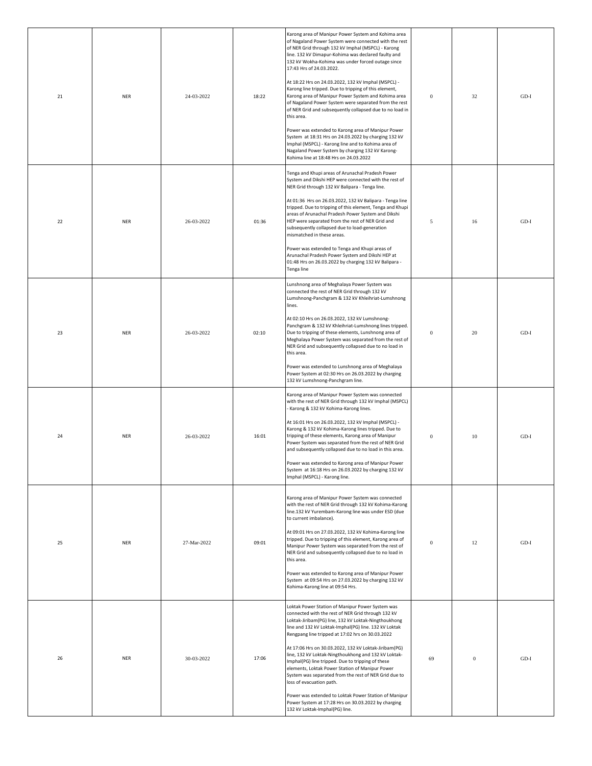| 21 | <b>NER</b> | 24-03-2022  | 18:22 | Karong area of Manipur Power System and Kohima area<br>of Nagaland Power System were connected with the rest<br>of NER Grid through 132 kV Imphal (MSPCL) - Karong<br>line. 132 kV Dimapur-Kohima was declared faulty and<br>132 kV Wokha-Kohima was under forced outage since<br>17:43 Hrs of 24.03.2022.<br>At 18:22 Hrs on 24.03.2022, 132 kV Imphal (MSPCL) -<br>Karong line tripped. Due to tripping of this element,<br>Karong area of Manipur Power System and Kohima area<br>of Nagaland Power System were separated from the rest<br>of NER Grid and subsequently collapsed due to no load in<br>this area.<br>Power was extended to Karong area of Manipur Power<br>System at 18:31 Hrs on 24.03.2022 by charging 132 kV<br>Imphal (MSPCL) - Karong line and to Kohima area of<br>Nagaland Power System by charging 132 kV Karong-<br>Kohima line at 18:48 Hrs on 24.03.2022 | $\mathbf{0}$     | 32           | $GD-I$ |
|----|------------|-------------|-------|----------------------------------------------------------------------------------------------------------------------------------------------------------------------------------------------------------------------------------------------------------------------------------------------------------------------------------------------------------------------------------------------------------------------------------------------------------------------------------------------------------------------------------------------------------------------------------------------------------------------------------------------------------------------------------------------------------------------------------------------------------------------------------------------------------------------------------------------------------------------------------------|------------------|--------------|--------|
| 22 | <b>NER</b> | 26-03-2022  | 01:36 | Tenga and Khupi areas of Arunachal Pradesh Power<br>System and Dikshi HEP were connected with the rest of<br>NER Grid through 132 kV Balipara - Tenga line.<br>At 01:36 Hrs on 26.03.2022, 132 kV Balipara - Tenga line<br>tripped. Due to tripping of this element, Tenga and Khupi<br>areas of Arunachal Pradesh Power System and Dikshi<br>HEP were separated from the rest of NER Grid and<br>subsequently collapsed due to load-generation<br>mismatched in these areas.<br>Power was extended to Tenga and Khupi areas of<br>Arunachal Pradesh Power System and Dikshi HEP at<br>01:48 Hrs on 26.03.2022 by charging 132 kV Balipara -<br>Tenga line                                                                                                                                                                                                                             | $\sqrt{5}$       | 16           | $GD-I$ |
| 23 | <b>NER</b> | 26-03-2022  | 02:10 | Lunshnong area of Meghalaya Power System was<br>connected the rest of NER Grid through 132 kV<br>Lumshnong-Panchgram & 132 kV Khleihriat-Lumshnong<br>lines.<br>At 02:10 Hrs on 26.03.2022, 132 kV Lumshnong-<br>Panchgram & 132 kV Khleihriat-Lumshnong lines tripped.<br>Due to tripping of these elements, Lunshnong area of<br>Meghalaya Power System was separated from the rest of<br>NER Grid and subsequently collapsed due to no load in<br>this area.<br>Power was extended to Lunshnong area of Meghalaya<br>Power System at 02:30 Hrs on 26.03.2022 by charging<br>132 kV Lumshnong-Panchgram line.                                                                                                                                                                                                                                                                        | $\bf{0}$         | 20           | $GD-I$ |
| 24 | <b>NER</b> | 26-03-2022  | 16:01 | Karong area of Manipur Power System was connected<br>with the rest of NER Grid through 132 kV Imphal (MSPCL)<br>Karong & 132 kV Kohima-Karong lines.<br>At 16:01 Hrs on 26.03.2022, 132 kV Imphal (MSPCL) -<br>Karong & 132 kV Kohima-Karong lines tripped. Due to<br>tripping of these elements, Karong area of Manipur<br>Power System was separated from the rest of NER Grid<br>and subsequently collapsed due to no load in this area.<br>Power was extended to Karong area of Manipur Power<br>System at 16:18 Hrs on 26.03.2022 by charging 132 kV<br>Imphal (MSPCL) - Karong line.                                                                                                                                                                                                                                                                                             | $\boldsymbol{0}$ | 10           | $GD-I$ |
| 25 | <b>NER</b> | 27-Mar-2022 | 09:01 | Karong area of Manipur Power System was connected<br>with the rest of NER Grid through 132 kV Kohima-Karong<br>line.132 kV Yurembam-Karong line was under ESD (due<br>to current imbalance).<br>At 09:01 Hrs on 27.03.2022, 132 kV Kohima-Karong line<br>tripped. Due to tripping of this element, Karong area of<br>Manipur Power System was separated from the rest of<br>NER Grid and subsequently collapsed due to no load in<br>this area.<br>Power was extended to Karong area of Manipur Power<br>System at 09:54 Hrs on 27.03.2022 by charging 132 kV<br>Kohima-Karong line at 09:54 Hrs.                                                                                                                                                                                                                                                                                      | $\bf{0}$         | 12           | $GD-I$ |
| 26 | <b>NER</b> | 30-03-2022  | 17:06 | Loktak Power Station of Manipur Power System was<br>connected with the rest of NER Grid through 132 kV<br>Loktak-Jiribam(PG) line, 132 kV Loktak-Ningthoukhong<br>line and 132 kV Loktak-Imphal(PG) line. 132 kV Loktak<br>Rengpang line tripped at 17:02 hrs on 30.03.2022<br>At 17:06 Hrs on 30.03.2022, 132 kV Loktak-Jiribam(PG)<br>line, 132 kV Loktak-Ningthoukhong and 132 kV Loktak-<br>Imphal(PG) line tripped. Due to tripping of these<br>elements, Loktak Power Station of Manipur Power<br>System was separated from the rest of NER Grid due to<br>loss of evacuation path.<br>Power was extended to Loktak Power Station of Manipur<br>Power System at 17:28 Hrs on 30.03.2022 by charging<br>132 kV Loktak-Imphal(PG) line.                                                                                                                                            | 69               | $\mathbf{0}$ | $GD-I$ |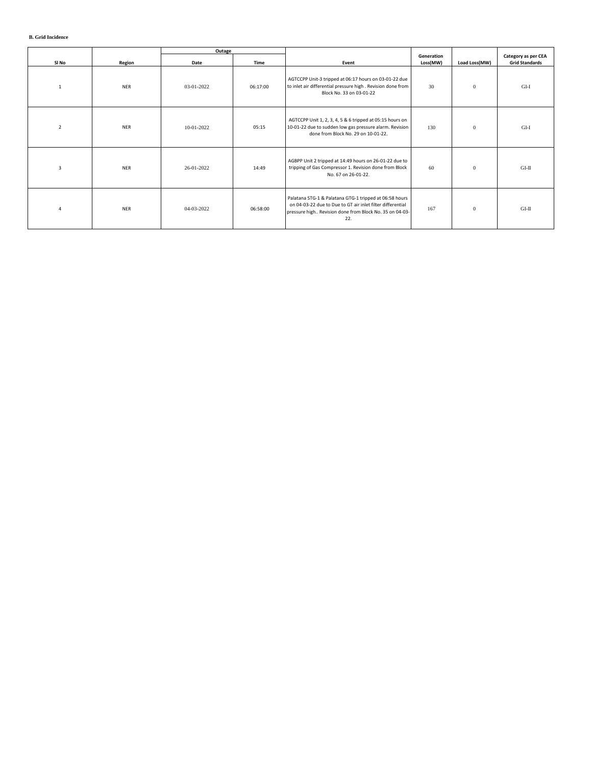|                |            | Outage     |          |                                                                                                                                                                                        |                        |               |                                              |
|----------------|------------|------------|----------|----------------------------------------------------------------------------------------------------------------------------------------------------------------------------------------|------------------------|---------------|----------------------------------------------|
| SI No          | Region     | Date       | Time     | Event                                                                                                                                                                                  | Generation<br>Loss(MW) | Load Loss(MW) | Category as per CEA<br><b>Grid Standards</b> |
| $\mathbf{1}$   | <b>NER</b> | 03-01-2022 | 06:17:00 | AGTCCPP Unit-3 tripped at 06:17 hours on 03-01-22 due<br>to inlet air differential pressure high . Revision done from<br>Block No. 33 on 03-01-22                                      | 30                     | $\mathbf{0}$  | $GI-I$                                       |
| $\overline{2}$ | <b>NER</b> | 10-01-2022 | 05:15    | AGTCCPP Unit 1, 2, 3, 4, 5 & 6 tripped at 05:15 hours on<br>10-01-22 due to sudden low gas pressure alarm. Revision<br>done from Block No. 29 on 10-01-22.                             | 130                    | $\mathbf{0}$  | $GI-I$                                       |
| 3              | <b>NER</b> | 26-01-2022 | 14:49    | AGBPP Unit 2 tripped at 14:49 hours on 26-01-22 due to<br>tripping of Gas Compressor 1. Revision done from Block<br>No. 67 on 26-01-22.                                                | 60                     | $\mathbf{0}$  | GLII                                         |
| 4              | <b>NER</b> | 04-03-2022 | 06:58:00 | Palatana STG-1 & Palatana GTG-1 tripped at 06:58 hours<br>on 04-03-22 due to Due to GT air inlet filter differential<br>pressure high Revision done from Block No. 35 on 04-03-<br>22. | 167                    | $\mathbf{0}$  | GLII                                         |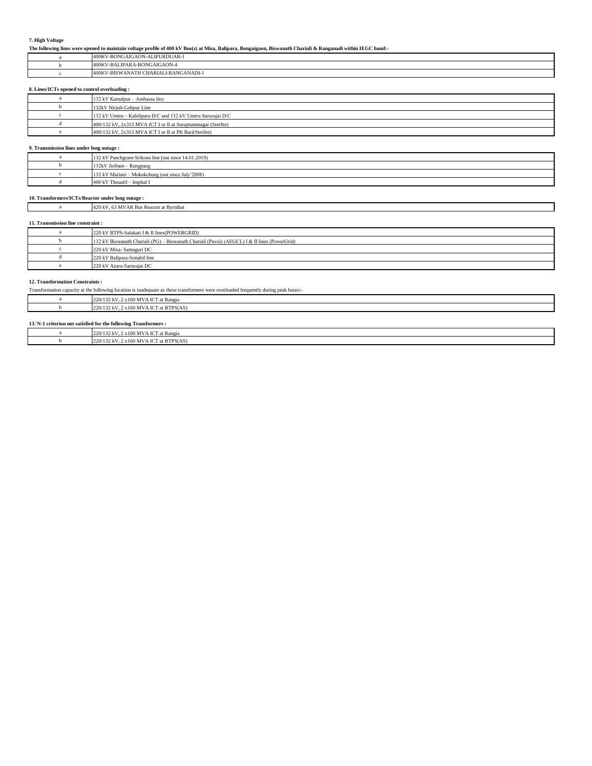## **7. High Voltage**

**The following lines were opened to maintain voltage profile of 400 kV Bus(s) at Misa, Balipara, Bongaigaon, Biswanath Chariali & Ranganadi within IEGC band:-**

| <b>PURDUAR-1</b><br>GAIGAON-ALIP<br>400KV-BONG |
|------------------------------------------------|
| <b>TPARA-BONGAIGAON-4</b><br>400KV-BALII       |
| CHARIALI-RANGANADI-1<br>400KV-BISW/<br>ANATH   |

## **8. Lines/ICTs opened to control overloading :**

| 132 kV Kamalpur - Ambassa line                                 |
|----------------------------------------------------------------|
| 132kV Nirjuli-Gohpur Line                                      |
| 132 kV Umtru - Kahilipara D/C and 132 kV Umtru Sarusajai D/C   |
| 400/132 kV, 2x315 MVA ICT I or II at Surajmaninagar (Sterlite) |
| 400/132 kV, 2x315 MVA ICT I or II at PK Bari(Sterlite)         |

## **9. Transmission lines under long outage :**

| 132 kV Panchgram-Srikona line (out since 14.01.2019) |
|------------------------------------------------------|
| 132kV Jiribam - Rengpang                             |
| 132 kV Mariani – Mokokchung (out since July'2008)    |
| 400 kV Thouabl - Imphal I                            |

٦

### **10. Transformers/ICTs/Reactor under long outage :**

|                                   | 420 kV, 63 MVAR Bus Reactor at Byrnihat                                                      |  |  |  |  |  |
|-----------------------------------|----------------------------------------------------------------------------------------------|--|--|--|--|--|
|                                   |                                                                                              |  |  |  |  |  |
| 11. Transmission line constraint: |                                                                                              |  |  |  |  |  |
|                                   | 220 kV BTPS-Salakati I & II lines(POWERGRID)                                                 |  |  |  |  |  |
|                                   | 132 kV Biswanath Chariali (PG) – Biswanath Chariali (Pavoi) (AEGCL) I & II lines (PowerGrid) |  |  |  |  |  |
|                                   | 220 kV Misa- Samaguri DC                                                                     |  |  |  |  |  |
|                                   | 220 kV Balipara-Sonabil line                                                                 |  |  |  |  |  |
|                                   | 220 kV Azara-Sarusajai DC                                                                    |  |  |  |  |  |

### **12. Transformation Constraints :**

Transformation capacity at the following location is inadequate as these transformers were overloaded frequently during peak hours:-

| )/132 kV, 2 x100 MVA ICT at Rangia<br>220/    |
|-----------------------------------------------|
| 20/132 kV, 2 x160 MVA ICT at BTPS(AS)<br>220/ |
|                                               |

## **13.'N-1 criterion not satisfied for the following Transformers :**

| 220/132 kV, 2 x 100 MVA ICT at Rangia   |
|-----------------------------------------|
| 220/132 kV, 2 x 160 MVA ICT at BTPS(AS) |